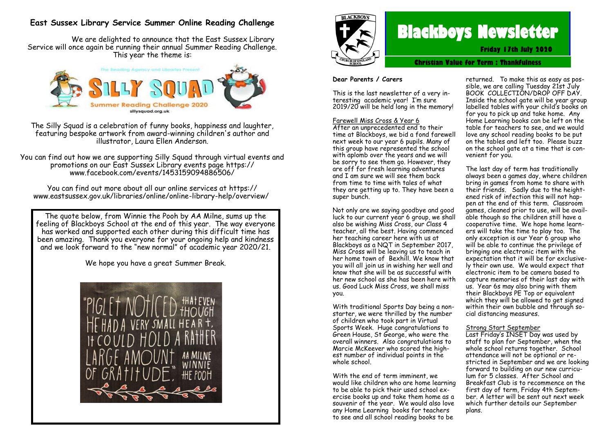# **East Sussex Library Service Summer Online Reading Challenge**

We are delighted to announce that the East Sussex Library Service will once again be running their annual Summer Reading Challenge. This year the theme is:



The Silly Squad is a celebration of funny books, happiness and laughter, featuring bespoke artwork from award-winning children's author and illustrator, Laura Ellen Anderson.

You can find out how we are supporting Silly Squad through virtual events and promotions on our East Sussex Library events page https:// www.facebook.com/events/1453159094886506/

You can find out more about all our online services at https:// www.eastsussex.gov.uk/libraries/online/online-library-help/overview/

The quote below, from Winnie the Pooh by AA Milne, sums up the feeling of Blackboys School at the end of this year. The way everyone has worked and supported each other during this difficult time has been amazing. Thank you everyone for your ongoing help and kindness and we look forward to the "new normal" of academic year 2020/21.

We hope you have a great Summer Break.





# **Blackboys Newsletter**

**Friday 17th July 2020**

**Christian Value for Term : Thankfulness**

#### **Dear Parents / Carers**

This is the last newsletter of a very interesting academic year! I'm sure 2019/20 will be held long in the memory!

#### Farewell Miss Cross & Year 6

After an unprecedented end to their time at Blackboys, we bid a fond farewell next week to our year 6 pupils. Many of this group have represented the school with aplomb over the years and we will be sorry to see them go. However, they are off for fresh learning adventures and I am sure we will see them back from time to time with tales of what they are getting up to. They have been a super bunch.

Not only are we saying goodbye and good luck to our current year 6 group, we shall also be wishing Miss Cross, our Class 4 teacher, all the best. Having commenced her teaching career here with us at Blackboys as a NQT in September 2017,  $Miss$  Cross will be leaving us to teach in her home town of Bexhill. We know that you will all join us in wishing her well and know that she will be as successful with her new school as she has been here with us. Good Luck Miss Cross, we shall miss you.

With traditional Sports Day being a nonstarter, we were thrilled by the number of children who took part in Virtual Sports Week. Huge congratulations to Green House, St George, who were the overall winners. Also congratulations to Marcie McKeever who scored the highest number of individual points in the whole school.

With the end of term imminent, we would like children who are home learning to be able to pick their used school exercise books up and take them home as a souvenir of the year. We would also love any Home Learning books for teachers to see and all school reading books to be

returned. To make this as easy as possible, we are calling Tuesday 21st July BOOK COLLECTION/DROP OFF DAY. Inside the school gate will be year group labelled tables with your child's books on for you to pick up and take home. Any Home Learning books can be left on the table for teachers to see, and we would love any school reading books to be put on the tables and left too. Please buzz on the school gate at a time that is convenient for you.

The last day of term has traditionally always been a games day, where children bring in games from home to share with their friends. Sadly due to the heightened risk of infection this will not happen at the end of this term. Classroom games, cleaned prior to use, will be available though so the children still have a cooperative time. We hope home learners will take the time to play too. The only exception is our Year 6 group who will be able to continue the privilege of bringing one electronic item with the expectation that it will be for exclusively their own use. We would expect that electronic item to be camera based to capture memories of their last day with us. Year 6s may also bring with them their Blackboys PE Top or equivalent which they will be allowed to get signed within their own bubble and through social distancing measures.

#### Strong Start September

Last Friday's INSET Day was used by staff to plan for September, when the whole school returns together. School attendance will not be optional or restricted in September and we are looking forward to building on our new curriculum for 5 classes. After School and Breakfast Club is to recommence on the first day of term, Friday 4th September. A letter will be sent out next week which further details our September plans.